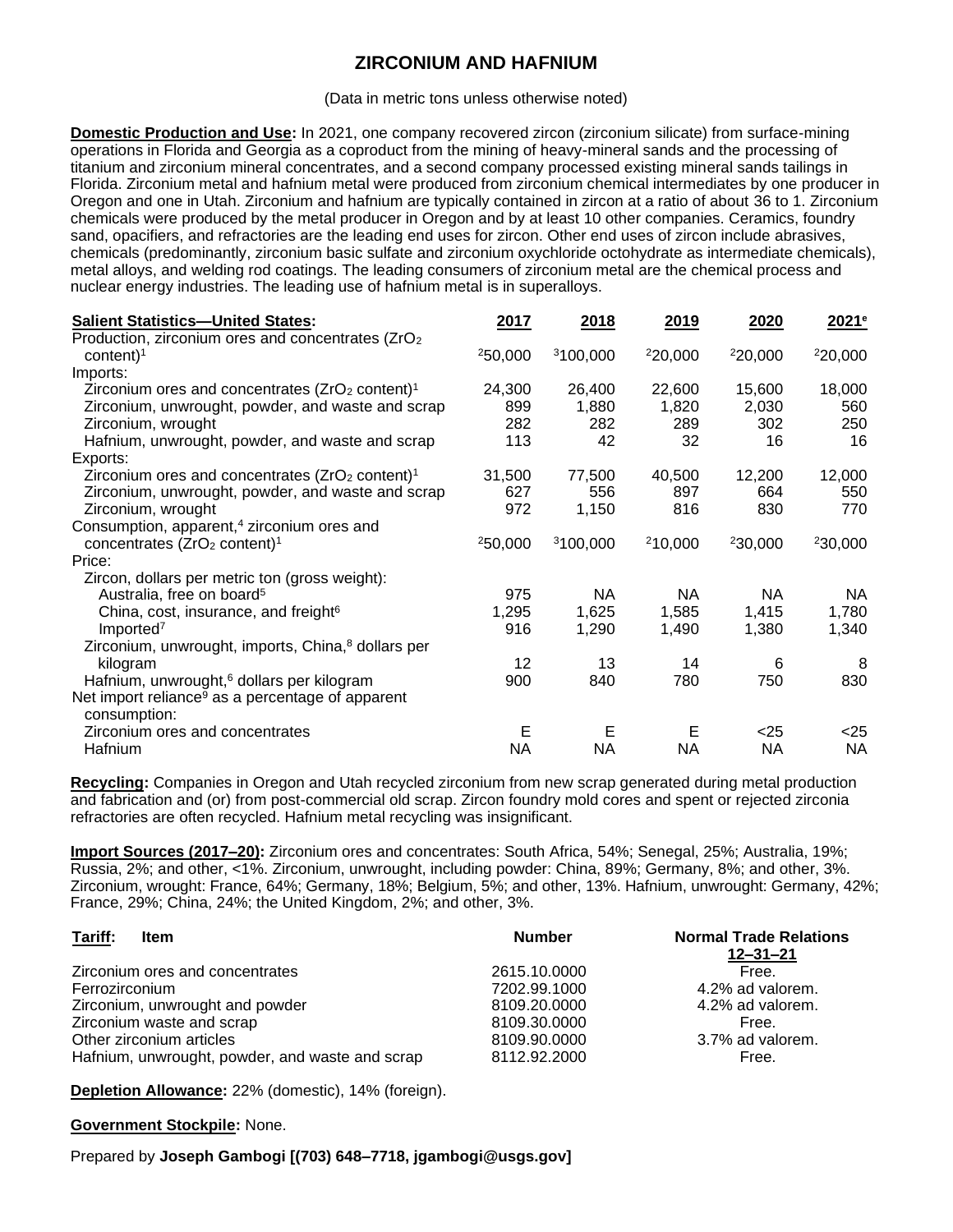## **ZIRCONIUM AND HAFNIUM**

(Data in metric tons unless otherwise noted)

**Domestic Production and Use:** In 2021, one company recovered zircon (zirconium silicate) from surface-mining operations in Florida and Georgia as a coproduct from the mining of heavy-mineral sands and the processing of titanium and zirconium mineral concentrates, and a second company processed existing mineral sands tailings in Florida. Zirconium metal and hafnium metal were produced from zirconium chemical intermediates by one producer in Oregon and one in Utah. Zirconium and hafnium are typically contained in zircon at a ratio of about 36 to 1. Zirconium chemicals were produced by the metal producer in Oregon and by at least 10 other companies. Ceramics, foundry sand, opacifiers, and refractories are the leading end uses for zircon. Other end uses of zircon include abrasives, chemicals (predominantly, zirconium basic sulfate and zirconium oxychloride octohydrate as intermediate chemicals), metal alloys, and welding rod coatings. The leading consumers of zirconium metal are the chemical process and nuclear energy industries. The leading use of hafnium metal is in superalloys.

| <b>Salient Statistics-United States:</b>                                         | 2017    | 2018                 | 2019    | 2020      | 2021 <sup>e</sup> |
|----------------------------------------------------------------------------------|---------|----------------------|---------|-----------|-------------------|
| Production, zirconium ores and concentrates (ZrO <sub>2</sub> )<br>content $)^1$ | 250,000 | <sup>3</sup> 100,000 | 220,000 | 220,000   | 220,000           |
| Imports:                                                                         |         |                      |         |           |                   |
| Zirconium ores and concentrates $(ZrO2 \text{ content})1$                        | 24,300  | 26,400               | 22,600  | 15,600    | 18,000            |
| Zirconium, unwrought, powder, and waste and scrap                                | 899     | 1,880                | 1,820   | 2,030     | 560               |
| Zirconium, wrought                                                               | 282     | 282                  | 289     | 302       | 250               |
| Hafnium, unwrought, powder, and waste and scrap                                  | 113     | 42                   | 32      | 16        | 16                |
| Exports:                                                                         |         |                      |         |           |                   |
| Zirconium ores and concentrates $(ZrO2 \text{ content})1$                        | 31,500  | 77,500               | 40,500  | 12,200    | 12,000            |
| Zirconium, unwrought, powder, and waste and scrap                                | 627     | 556                  | 897     | 664       | 550               |
| Zirconium, wrought                                                               | 972     | 1,150                | 816     | 830       | 770               |
| Consumption, apparent, <sup>4</sup> zirconium ores and                           |         |                      |         |           |                   |
| concentrates $(ZrO2 \text{ content})1$                                           | 250,000 | <sup>3</sup> 100,000 | 210,000 | 230,000   | 230,000           |
| Price:                                                                           |         |                      |         |           |                   |
| Zircon, dollars per metric ton (gross weight):                                   |         |                      |         |           |                   |
| Australia, free on board <sup>5</sup>                                            | 975     | NA.                  | NA.     | NA.       | NA.               |
| China, cost, insurance, and freight <sup>6</sup>                                 | 1,295   | 1,625                | 1,585   | 1,415     | 1,780             |
| Imported <sup>7</sup>                                                            | 916     | 1,290                | 1,490   | 1,380     | 1,340             |
| Zirconium, unwrought, imports, China, <sup>8</sup> dollars per                   |         |                      |         |           |                   |
| kilogram                                                                         | 12      | 13                   | 14      | 6         | 8                 |
| Hafnium, unwrought, <sup>6</sup> dollars per kilogram                            | 900     | 840                  | 780     | 750       | 830               |
| Net import reliance <sup>9</sup> as a percentage of apparent<br>consumption:     |         |                      |         |           |                   |
| Zirconium ores and concentrates                                                  | Е       | Е                    | Е       | $<$ 25    | $<$ 25            |
| Hafnium                                                                          | NA.     | <b>NA</b>            | NA.     | <b>NA</b> | <b>NA</b>         |

**Recycling:** Companies in Oregon and Utah recycled zirconium from new scrap generated during metal production and fabrication and (or) from post-commercial old scrap. Zircon foundry mold cores and spent or rejected zirconia refractories are often recycled. Hafnium metal recycling was insignificant.

**Import Sources (2017–20):** Zirconium ores and concentrates: South Africa, 54%; Senegal, 25%; Australia, 19%; Russia, 2%; and other, <1%. Zirconium, unwrought, including powder: China, 89%; Germany, 8%; and other, 3%. Zirconium, wrought: France, 64%; Germany, 18%; Belgium, 5%; and other, 13%. Hafnium, unwrought: Germany, 42%; France, 29%; China, 24%; the United Kingdom, 2%; and other, 3%.

| Tariff:<br><b>Item</b>                          | <b>Number</b> | <b>Normal Trade Relations</b><br>$12 - 31 - 21$ |
|-------------------------------------------------|---------------|-------------------------------------------------|
| Zirconium ores and concentrates                 | 2615.10.0000  | Free.                                           |
| Ferrozirconium                                  | 7202.99.1000  | 4.2% ad valorem.                                |
| Zirconium, unwrought and powder                 | 8109.20.0000  | 4.2% ad valorem.                                |
| Zirconium waste and scrap                       | 8109.30.0000  | Free.                                           |
| Other zirconium articles                        | 8109.90.0000  | 3.7% ad valorem.                                |
| Hafnium, unwrought, powder, and waste and scrap | 8112.92.2000  | Free.                                           |

**Depletion Allowance:** 22% (domestic), 14% (foreign).

## **Government Stockpile:** None.

Prepared by **Joseph Gambogi [(703) 648–7718, jgambogi@usgs.gov]**